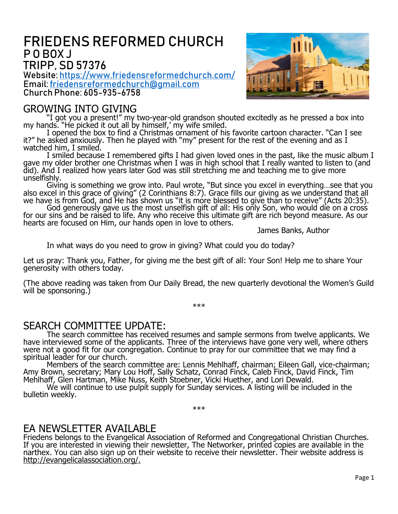# FRIEDENS REFORMED CHURCH P O BOX J TRIPP, SD 57376

Website: <https://www.friedensreformedchurch.com/> Email[:friedensreformedchurch@gmail.com](mailto:friedensreformedchurch@gmail.com) Church Phone: 605-935-6758

### GROWING INTO GIVING



"I got you a present!" my two-year-old grandson shouted excitedly as he pressed a box into my hands. "He picked it out all by himself,' my wife smiled.

I opened the box to find a Christmas ornament of his favorite cartoon character. "Can I see it?" he asked anxiously. Then he played with "my" present for the rest of the evening and as I watched him, I smiled.

I smiled because I remembered gifts I had given loved ones in the past, like the music album I gave my older brother one Christmas when I was in high school that I really wanted to listen to (and did). And I realized how years later God was still stretching me and teaching me to give more unselfishly.

Giving is something we grow into. Paul wrote, "But since you excel in everything…see that you also excel in this grace of giving" (2 Corinthians 8:7). Grace fills our giving as we understand that all we have is from God, and He has shown us "it is more blessed to give than to receive" (Acts 20:35).

God generously gave us the most unselfish gift of all: His only Son, who would die on a cross for our sins and be raised to life. Any who receive this ultimate gift are rich beyond measure. As our hearts are focused on Him, our hands open in love to others.

James Banks, Author

In what ways do you need to grow in giving? What could you do today?

Let us pray: Thank you, Father, for giving me the best gift of all: Your Son! Help me to share Your generosity with others today.

(The above reading was taken from Our Daily Bread, the new quarterly devotional the Women's Guild will be sponsoring.)

\*\*\*

#### SEARCH COMMITTEE UPDATE:

The search committee has received resumes and sample sermons from twelve applicants. We have interviewed some of the applicants. Three of the interviews have gone very well, where others were not a good fit for our congregation. Continue to pray for our committee that we may find a spiritual leader for our church.

Members of the search committee are: Lennis Mehlhaff, chairman; Eileen Gall, vice-chairman; Amy Brown, secretary; Mary Lou Hoff, Sally Schatz, Conrad Finck, Caleb Finck, David Finck, Tim Mehlhaff, Glen Hartman, Mike Nuss, Keith Stoebner, Vicki Huether, and Lori Dewald.

We will continue to use pulpit supply for Sunday services. A listing will be included in the bulletin weekly.

\*\*\*

#### EA NEWSLETTER AVAILABLE

Friedens belongs to the Evangelical Association of Reformed and Congregational Christian Churches. If you are interested in viewing their newsletter, The Networker, printed copies are available in the narthex. You can also sign up on their website to receive their newsletter. Their website address is http://evangelicalassociation.org/.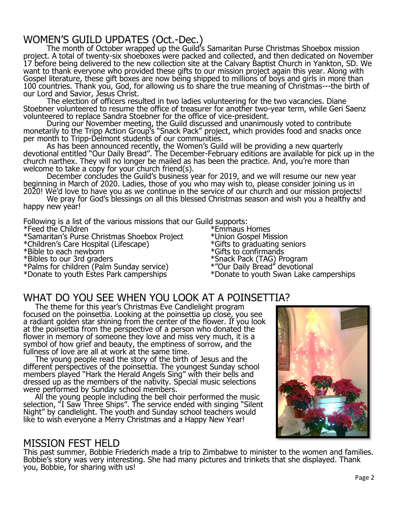# WOMEN'S GUILD UPDATES (Oct.-Dec.)

The month of October wrapped up the Guild's Samaritan Purse Christmas Shoebox mission project. A total of twenty-six shoeboxes were packed and collected, and then dedicated on November 17 before being delivered to the new collection site at the Calvary Baptist Church in Yankton, SD. We want to thank everyone who provided these gifts to our mission project again this year. Along with Gospel literature, these gift boxes are now being shipped to millions of boys and girls in more than 100 countries. Thank you, God, for allowing us to share the true meaning of Christmas---the birth of our Lord and Savior, Jesus Christ.

The election of officers resulted in two ladies volunteering for the two vacancies. Diane Stoebner volunteered to resume the office of treasurer for another two-year term, while Geri Saenz volunteered to replace Sandra Stoebner for the office of vice-president.

During our November meeting, the Guild discussed and unanimously voted to contribute monetarily to the Tripp Action Group's "Snack Pack" project, which provides food and snacks once per month to Tripp-Delmont students of our communities.

As has been announced recently, the Women's Guild will be providing a new quarterly devotional entitled "Our Daily Bread". The December-February editions are available for pick up in the church narthex. They will no longer be mailed as has been the practice. And, you're more than welcome to take a copy for your church friend(s).

December concludes the Guild's business year for 2019, and we will resume our new year beginning in March of 2020. Ladies, those of you who may wish to, please consider joining us in 2020! We'd love to have you as we continue in the service of our church and our mission projects!

We pray for God's blessings on all this blessed Christmas season and wish you a healthy and happy new year!

Following is a list of the various missions that our Guild supports:

\*Feed the Children

\*Children's Care Hospital (Lifescape) \*Gifts to graduating seniors

\*Bible to each newborn<br>\*Bibles to our 3rd graders

\*Donate to youth Estes Park camperships \*Donate to youth Swan Lake camperships

\*Samaritan's Purse Christmas Shoebox Project \*Union Gospel Mission<br>\*Children's Care Hospital (Lifescape) \*Gifts to graduating seniors \*Snack Pack (TAG) Program<br>\*"Our Daily Bread" devotional \*Palms for children (Palm Sunday service) \*"Our Daily Bread" devotional

# WHAT DO YOU SEE WHEN YOU LOOK AT A POINSETTIA?

The theme for this year's Christmas Eve Candlelight program focused on the poinsettia. Looking at the poinsettia up close, you see a radiant golden star shining from the center of the flower. If you look at the poinsettia from the perspective of a person who donated the flower in memory of someone they love and miss very much, it is a symbol of how grief and beauty, the emptiness of sorrow, and the fullness of love are all at work at the same time.

The young people read the story of the birth of Jesus and the different perspectives of the poinsettia. The youngest Sunday school members played "Hark the Herald Angels Sing" with their bells and dressed up as the members of the nativity. Special music selections were performed by Sunday school members.

All the young people including the bell choir performed the music selection, "I Saw Three Ships". The service ended with singing "Silent Night" by candlelight. The youth and Sunday school teachers would like to wish everyone a Merry Christmas and a Happy New Year!

# MISSION FEST HELD

This past summer, Bobbie Friederich made a trip to Zimbabwe to minister to the women and families. Bobbie's story was very interesting. She had many pictures and trinkets that she displayed. Thank you, Bobbie, for sharing with us!

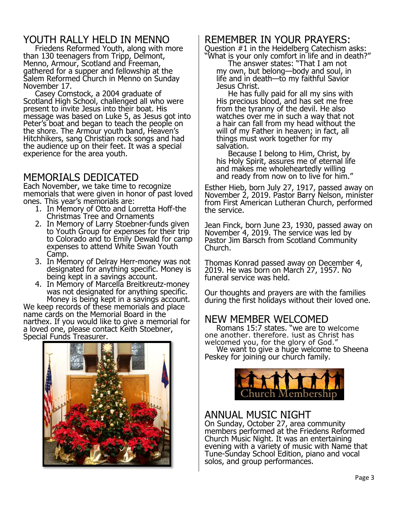# YOUTH RALLY HELD IN MENNO

Friedens Reformed Youth, along with more than 130 teenagers from Tripp, Delmont, Menno, Armour, Scotland and Freeman, gathered for a supper and fellowship at the Salem Reformed Church in Menno on Sunday November 17.

Casey Comstock, a 2004 graduate of Scotland High School, challenged all who were present to invite Jesus into their boat. His message was based on Luke 5, as Jesus got into Peter's boat and began to teach the people on the shore. The Armour youth band, Heaven's Hitchhikers, sang Christian rock songs and had the audience up on their feet. It was a special experience for the area youth.

# MEMORIALS DEDICATED

Each November, we take time to recognize memorials that were given in honor of past loved ones. This year's memorials are:

- 1. In Memory of Otto and Lorretta Hoff-the Christmas Tree and Ornaments
- 2. In Memory of Larry Stoebner-funds given to Youth Group for expenses for their trip to Colorado and to Emily Dewald for camp expenses to attend White Swan Youth Camp.
- 3. In Memory of Delray Herr-money was not designated for anything specific. Money is being kept in a savings account.
- 4. In Memory of Marcella Breitkreutz-money was not designated for anything specific. Money is being kept in a savings account.

We keep records of these memorials and place name cards on the Memorial Board in the narthex. If you would like to give a memorial for a loved one, please contact Keith Stoebner, Special Funds Treasurer.



# REMEMBER IN YOUR PRAYERS:

Question #1 in the Heidelberg Catechism asks: "What is your only comfort in life and in death?"

The answer states: "That I am not my own, but belong—body and soul, in life and in death—to my faithful Savior Jesus Christ.

He has fully paid for all my sins with His precious blood, and has set me free from the tyranny of the devil. He also watches over me in such a way that not a hair can fall from my head without the will of my Father in heaven; in fact, all things must work together for my salvation.

Because I belong to Him, Christ, by his Holy Spirit, assures me of eternal life and makes me wholeheartedly willing and ready from now on to live for him."

Esther Hieb, born July 27, 1917, passed away on November 2, 2019. Pastor Barry Nelson, minister from First American Lutheran Church, performed the service.

Jean Finck, born June 23, 1930, passed away on November 4, 2019. The service was led by Pastor Jim Barsch from Scotland Community Church.

Thomas Konrad passed away on December 4, 2019. He was born on March 27, 1957. No funeral service was held.

Our thoughts and prayers are with the families during the first holidays without their loved one.

# NEW MEMBER WELCOMED

Romans 15:7 states, "we are to welcome one another, therefore, just as Christ has welcomed you, for the glory of God." We want to give a huge welcome to Sheena

Peskey for joining our church family.



#### ANNUAL MUSIC NIGHT

On Sunday, October 27, area community members performed at the Friedens Reformed Church Music Night. It was an entertaining evening with a variety of music with Name that Tune-Sunday School Edition, piano and vocal solos, and group performances.